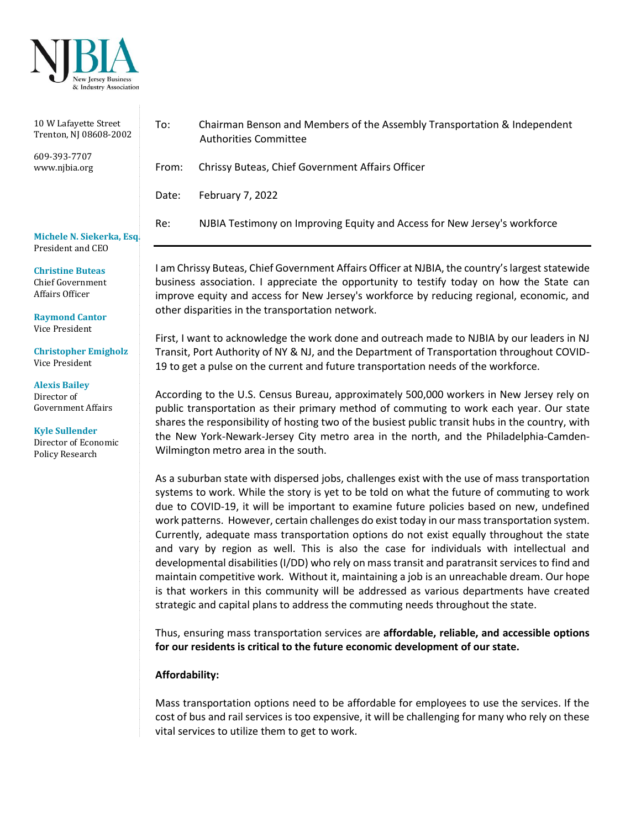

| 10 W Lafayette Street<br>Trenton, NJ 08608-2002 | To:   | Chairman Benson and Members of the Assembly Transportation & Independent<br><b>Authorities Committee</b> |
|-------------------------------------------------|-------|----------------------------------------------------------------------------------------------------------|
| 609-393-7707<br>www.nibia.org                   | From: | Chrissy Buteas, Chief Government Affairs Officer                                                         |
|                                                 | Date: | February 7, 2022                                                                                         |
| Michele N. Siekerka, Esq.<br>President and CEO  | Re:   | NJBIA Testimony on Improving Equity and Access for New Jersey's workforce                                |

esident and CEC

**Christine Buteas** Chief Government Affairs Officer

**Raymond Cantor** Vice President

**Christopher Emigholz** Vice President

**Alexis Bailey**  Director of Government Affairs

**Kyle Sullender** Director of Economic Policy Research

I am Chrissy Buteas, Chief Government Affairs Officer at NJBIA, the country's largest statewide business association. I appreciate the opportunity to testify today on how the State can improve equity and access for New Jersey's workforce by reducing regional, economic, and other disparities in the transportation network.

First, I want to acknowledge the work done and outreach made to NJBIA by our leaders in NJ Transit, Port Authority of NY & NJ, and the Department of Transportation throughout COVID-19 to get a pulse on the current and future transportation needs of the workforce.

According to the U.S. Census Bureau, approximately 500,000 workers in New Jersey rely on public transportation as their primary method of commuting to work each year. Our state shares the responsibility of hosting two of the busiest public transit hubs in the country, with the New York-Newark-Jersey City metro area in the north, and the Philadelphia-Camden-Wilmington metro area in the south.

As a suburban state with dispersed jobs, challenges exist with the use of mass transportation systems to work. While the story is yet to be told on what the future of commuting to work due to COVID-19, it will be important to examine future policies based on new, undefined work patterns. However, certain challenges do exist today in our mass transportation system. Currently, adequate mass transportation options do not exist equally throughout the state and vary by region as well. This is also the case for individuals with intellectual and developmental disabilities (I/DD) who rely on mass transit and paratransit services to find and maintain competitive work. Without it, maintaining a job is an unreachable dream. Our hope is that workers in this community will be addressed as various departments have created strategic and capital plans to address the commuting needs throughout the state.

Thus, ensuring mass transportation services are **affordable, reliable, and accessible options for our residents is critical to the future economic development of our state.**

## **Affordability:**

Mass transportation options need to be affordable for employees to use the services. If the cost of bus and rail services is too expensive, it will be challenging for many who rely on these vital services to utilize them to get to work.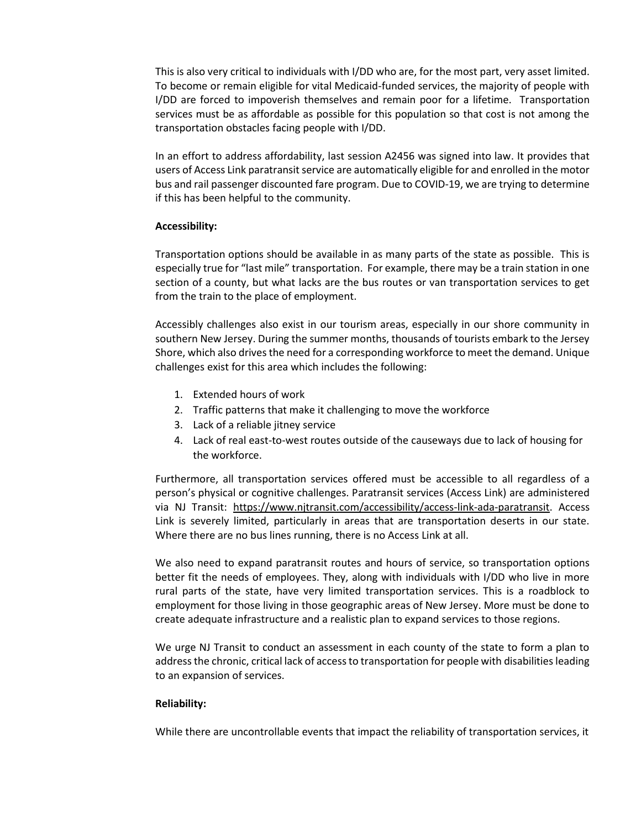This is also very critical to individuals with I/DD who are, for the most part, very asset limited. To become or remain eligible for vital Medicaid-funded services, the majority of people with I/DD are forced to impoverish themselves and remain poor for a lifetime. Transportation services must be as affordable as possible for this population so that cost is not among the transportation obstacles facing people with I/DD.

In an effort to address affordability, last session A2456 was signed into law. It provides that users of Access Link paratransit service are automatically eligible for and enrolled in the motor bus and rail passenger discounted fare program. Due to COVID-19, we are trying to determine if this has been helpful to the community.

## **Accessibility:**

Transportation options should be available in as many parts of the state as possible. This is especially true for "last mile" transportation. For example, there may be a train station in one section of a county, but what lacks are the bus routes or van transportation services to get from the train to the place of employment.

Accessibly challenges also exist in our tourism areas, especially in our shore community in southern New Jersey. During the summer months, thousands of tourists embark to the Jersey Shore, which also drives the need for a corresponding workforce to meet the demand. Unique challenges exist for this area which includes the following:

- 1. Extended hours of work
- 2. Traffic patterns that make it challenging to move the workforce
- 3. Lack of a reliable jitney service
- 4. Lack of real east-to-west routes outside of the causeways due to lack of housing for the workforce.

Furthermore, all transportation services offered must be accessible to all regardless of a person's physical or cognitive challenges. Paratransit services (Access Link) are administered via NJ Transit: [https://www.njtransit.com/accessibility/access-link-ada-paratransit.](https://www.njtransit.com/accessibility/access-link-ada-paratransit) Access Link is severely limited, particularly in areas that are transportation deserts in our state. Where there are no bus lines running, there is no Access Link at all.

We also need to expand paratransit routes and hours of service, so transportation options better fit the needs of employees. They, along with individuals with I/DD who live in more rural parts of the state, have very limited transportation services. This is a roadblock to employment for those living in those geographic areas of New Jersey. More must be done to create adequate infrastructure and a realistic plan to expand services to those regions.

We urge NJ Transit to conduct an assessment in each county of the state to form a plan to address the chronic, critical lack of access to transportation for people with disabilities leading to an expansion of services.

## **Reliability:**

While there are uncontrollable events that impact the reliability of transportation services, it